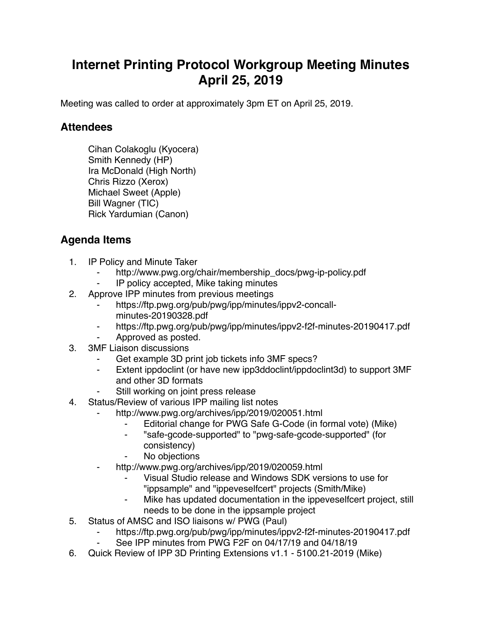## **Internet Printing Protocol Workgroup Meeting Minutes April 25, 2019**

Meeting was called to order at approximately 3pm ET on April 25, 2019.

## **Attendees**

Cihan Colakoglu (Kyocera) Smith Kennedy (HP) Ira McDonald (High North) Chris Rizzo (Xerox) Michael Sweet (Apple) Bill Wagner (TIC) Rick Yardumian (Canon)

## **Agenda Items**

- 1. IP Policy and Minute Taker
	- http://www.pwg.org/chair/membership\_docs/pwg-ip-policy.pdf
	- ⁃ IP policy accepted, Mike taking minutes
- 2. Approve IPP minutes from previous meetings
	- https://ftp.pwg.org/pub/pwg/ipp/minutes/ippv2-concallminutes-20190328.pdf
	- https://ftp.pwg.org/pub/pwg/ipp/minutes/ippv2-f2f-minutes-20190417.pdf
	- Approved as posted.
- 3. 3MF Liaison discussions
	- Get example 3D print job tickets info 3MF specs?
	- ⁃ Extent ippdoclint (or have new ipp3ddoclint/ippdoclint3d) to support 3MF and other 3D formats
	- Still working on joint press release
- 4. Status/Review of various IPP mailing list notes
	- http://www.pwg.org/archives/ipp/2019/020051.html
		- Editorial change for PWG Safe G-Code (in formal vote) (Mike)
		- ⁃ "safe-gcode-supported" to "pwg-safe-gcode-supported" (for consistency)
		- No objections
	- http://www.pwg.org/archives/ipp/2019/020059.html
		- Visual Studio release and Windows SDK versions to use for "ippsample" and "ippeveselfcert" projects (Smith/Mike)
		- Mike has updated documentation in the ippeveselfcert project, still needs to be done in the ippsample project
- 5. Status of AMSC and ISO liaisons w/ PWG (Paul)
	- https://ftp.pwg.org/pub/pwg/ipp/minutes/ippv2-f2f-minutes-20190417.pdf
	- See IPP minutes from PWG F2F on 04/17/19 and 04/18/19
- 6. Quick Review of IPP 3D Printing Extensions v1.1 5100.21-2019 (Mike)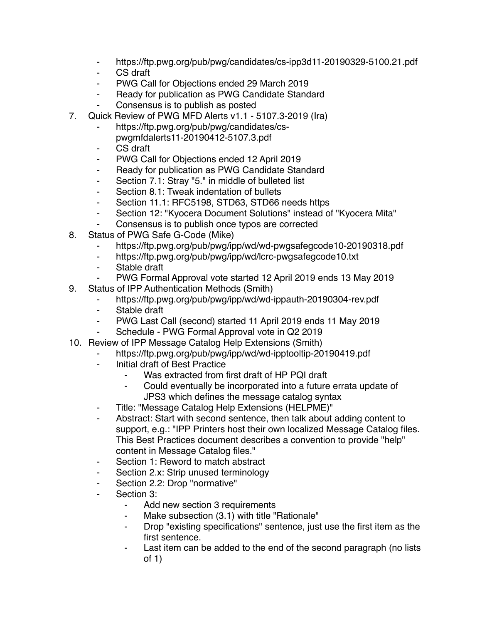- ⁃ https://ftp.pwg.org/pub/pwg/candidates/cs-ipp3d11-20190329-5100.21.pdf
- ⁃ CS draft
- ⁃ PWG Call for Objections ended 29 March 2019
- ⁃ Ready for publication as PWG Candidate Standard
- Consensus is to publish as posted
- 7. Quick Review of PWG MFD Alerts v1.1 5107.3-2019 (Ira)
	- https://ftp.pwg.org/pub/pwg/candidates/cspwgmfdalerts11-20190412-5107.3.pdf
	- CS draft
	- ⁃ PWG Call for Objections ended 12 April 2019
	- ⁃ Ready for publication as PWG Candidate Standard
	- ⁃ Section 7.1: Stray "5." in middle of bulleted list
	- ⁃ Section 8.1: Tweak indentation of bullets
	- ⁃ Section 11.1: RFC5198, STD63, STD66 needs https
	- ⁃ Section 12: "Kyocera Document Solutions" instead of "Kyocera Mita"
	- Consensus is to publish once typos are corrected
- 8. Status of PWG Safe G-Code (Mike)
	- ⁃ https://ftp.pwg.org/pub/pwg/ipp/wd/wd-pwgsafegcode10-20190318.pdf
	- ⁃ https://ftp.pwg.org/pub/pwg/ipp/wd/lcrc-pwgsafegcode10.txt
	- ⁃ Stable draft
	- ⁃ PWG Formal Approval vote started 12 April 2019 ends 13 May 2019
- 9. Status of IPP Authentication Methods (Smith)
	- https://ftp.pwg.org/pub/pwg/ipp/wd/wd-ippauth-20190304-rev.pdf
	- ⁃ Stable draft
	- ⁃ PWG Last Call (second) started 11 April 2019 ends 11 May 2019
	- Schedule PWG Formal Approval vote in Q2 2019
- 10. Review of IPP Message Catalog Help Extensions (Smith)
	- ⁃ https://ftp.pwg.org/pub/pwg/ipp/wd/wd-ipptooltip-20190419.pdf
	- **Initial draft of Best Practice** 
		- Was extracted from first draft of HP PQI draft
		- ⁃ Could eventually be incorporated into a future errata update of JPS3 which defines the message catalog syntax
	- Title: "Message Catalog Help Extensions (HELPME)"
	- Abstract: Start with second sentence, then talk about adding content to support, e.g.: "IPP Printers host their own localized Message Catalog files. This Best Practices document describes a convention to provide "help" content in Message Catalog files."
	- Section 1: Reword to match abstract
	- Section 2.x: Strip unused terminology
	- Section 2.2: Drop "normative"
	- ⁃ Section 3:
		- ⁃ Add new section 3 requirements
		- Make subsection (3.1) with title "Rationale"
		- ⁃ Drop "existing specifications" sentence, just use the first item as the first sentence.
		- Last item can be added to the end of the second paragraph (no lists) of 1)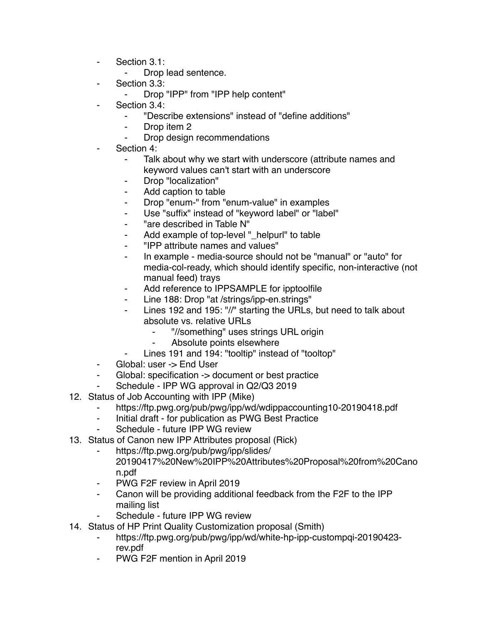- ⁃ Section 3.1:
	- ⁃ Drop lead sentence.
- Section 3.3:
	- Drop "IPP" from "IPP help content"
- Section 3.4:
	- ⁃ "Describe extensions" instead of "define additions"
	- ⁃ Drop item 2
	- ⁃ Drop design recommendations
- Section 4:
	- Talk about why we start with underscore (attribute names and keyword values can't start with an underscore
	- ⁃ Drop "localization"
	- ⁃ Add caption to table
	- ⁃ Drop "enum-" from "enum-value" in examples
	- ⁃ Use "suffix" instead of "keyword label" or "label"
	- "are described in Table N"
	- Add example of top-level " helpurl" to table
	- ⁃ "IPP attribute names and values"
	- In example media-source should not be "manual" or "auto" for media-col-ready, which should identify specific, non-interactive (not manual feed) trays
	- ⁃ Add reference to IPPSAMPLE for ipptoolfile
	- Line 188: Drop "at /strings/ipp-en.strings"
	- ⁃ Lines 192 and 195: "//" starting the URLs, but need to talk about absolute vs. relative URLs
		- ⁃ "//something" uses strings URL origin
		- ⁃ Absolute points elsewhere
		- Lines 191 and 194: "tooltip" instead of "tooltop"
- ⁃ Global: user -> End User
- Global: specification -> document or best practice
- Schedule IPP WG approval in Q2/Q3 2019
- 12. Status of Job Accounting with IPP (Mike)
	- https://ftp.pwg.org/pub/pwg/ipp/wd/wdippaccounting10-20190418.pdf
	- ⁃ Initial draft for publication as PWG Best Practice
	- Schedule future IPP WG review
- 13. Status of Canon new IPP Attributes proposal (Rick)
	- https://ftp.pwg.org/pub/pwg/ipp/slides/
		- 20190417%20New%20IPP%20Attributes%20Proposal%20from%20Cano n.pdf
	- ⁃ PWG F2F review in April 2019
	- ⁃ Canon will be providing additional feedback from the F2F to the IPP mailing list
	- Schedule future IPP WG review
- 14. Status of HP Print Quality Customization proposal (Smith)
	- ⁃ https://ftp.pwg.org/pub/pwg/ipp/wd/white-hp-ipp-custompqi-20190423 rev.pdf
	- PWG F2F mention in April 2019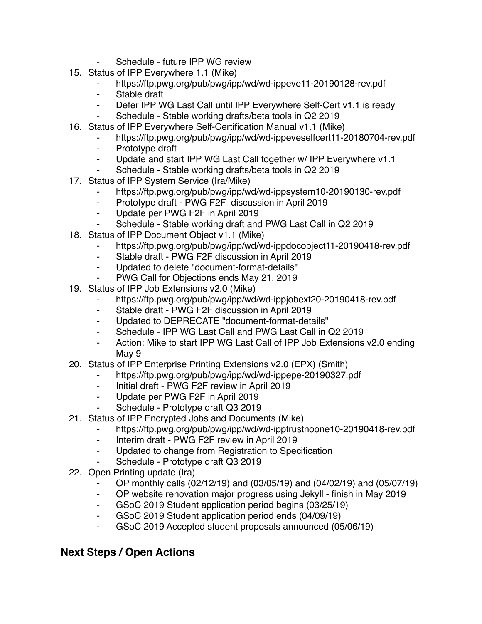- Schedule future IPP WG review
- 15. Status of IPP Everywhere 1.1 (Mike)
	- https://ftp.pwg.org/pub/pwg/ipp/wd/wd-ippeve11-20190128-rev.pdf
	- ⁃ Stable draft
	- ⁃ Defer IPP WG Last Call until IPP Everywhere Self-Cert v1.1 is ready
	- Schedule Stable working drafts/beta tools in Q2 2019
- 16. Status of IPP Everywhere Self-Certification Manual v1.1 (Mike)
	- https://ftp.pwg.org/pub/pwg/ipp/wd/wd-ippeveselfcert11-20180704-rev.pdf
	- ⁃ Prototype draft
	- ⁃ Update and start IPP WG Last Call together w/ IPP Everywhere v1.1
	- Schedule Stable working drafts/beta tools in Q2 2019
- 17. Status of IPP System Service (Ira/Mike)
	- https://ftp.pwg.org/pub/pwg/ipp/wd/wd-ippsystem10-20190130-rev.pdf
	- ⁃ Prototype draft PWG F2F discussion in April 2019
	- ⁃ Update per PWG F2F in April 2019
	- Schedule Stable working draft and PWG Last Call in Q2 2019
- 18. Status of IPP Document Object v1.1 (Mike)
	- ⁃ https://ftp.pwg.org/pub/pwg/ipp/wd/wd-ippdocobject11-20190418-rev.pdf
	- ⁃ Stable draft PWG F2F discussion in April 2019
	- ⁃ Updated to delete "document-format-details"
	- PWG Call for Objections ends May 21, 2019
- 19. Status of IPP Job Extensions v2.0 (Mike)
	- https://ftp.pwg.org/pub/pwg/ipp/wd/wd-ippjobext20-20190418-rev.pdf
	- ⁃ Stable draft PWG F2F discussion in April 2019
	- ⁃ Updated to DEPRECATE "document-format-details"
	- ⁃ Schedule IPP WG Last Call and PWG Last Call in Q2 2019
	- ⁃ Action: Mike to start IPP WG Last Call of IPP Job Extensions v2.0 ending May 9
- 20. Status of IPP Enterprise Printing Extensions v2.0 (EPX) (Smith)
	- https://ftp.pwg.org/pub/pwg/ipp/wd/wd-ippepe-20190327.pdf
	- ⁃ Initial draft PWG F2F review in April 2019
	- ⁃ Update per PWG F2F in April 2019
	- Schedule Prototype draft Q3 2019
- 21. Status of IPP Encrypted Jobs and Documents (Mike)
	- ⁃ https://ftp.pwg.org/pub/pwg/ipp/wd/wd-ipptrustnoone10-20190418-rev.pdf
	- ⁃ Interim draft PWG F2F review in April 2019
	- ⁃ Updated to change from Registration to Specification
	- Schedule Prototype draft Q3 2019
- 22. Open Printing update (Ira)
	- ⁃ OP monthly calls (02/12/19) and (03/05/19) and (04/02/19) and (05/07/19)
	- ⁃ OP website renovation major progress using Jekyll finish in May 2019
	- ⁃ GSoC 2019 Student application period begins (03/25/19)
	- GSoC 2019 Student application period ends (04/09/19)
	- ⁃ GSoC 2019 Accepted student proposals announced (05/06/19)

## **Next Steps / Open Actions**